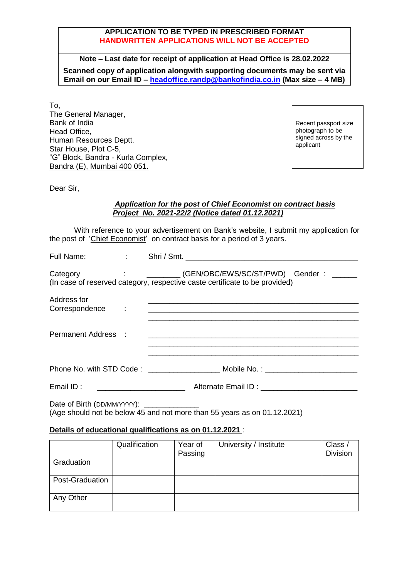## **APPLICATION TO BE TYPED IN PRESCRIBED FORMAT HANDWRITTEN APPLICATIONS WILL NOT BE ACCEPTED**

**Note – Last date for receipt of application at Head Office is 28.02.2022 Scanned copy of application alongwith supporting documents may be sent via Email on our Email ID – [headoffice.randp@bankofindia.co.in](mailto:headoffice.randp@bankofindia.co.in) (Max size – 4 MB)**

To, The General Manager, Bank of India Head Office, Human Resources Deptt. Star House, Plot C-5, "G" Block, Bandra - Kurla Complex, Bandra (E), Mumbai 400 051.

Recent passport size photograph to be signed across by the applicant

Dear Sir,

### *Application for the post of Chief Economist on contract basis Project No. 2021-22/2 (Notice dated 01.12.2021)*

With reference to your advertisement on Bank's website, I submit my application for the post of 'Chief Economist' on contract basis for a period of 3 years.

|                                            | Category : _________(GEN/OBC/EWS/SC/ST/PWD) Gender : ______<br>(In case of reserved category, respective caste certificate to be provided)                                                                                                                                 |
|--------------------------------------------|----------------------------------------------------------------------------------------------------------------------------------------------------------------------------------------------------------------------------------------------------------------------------|
| Address for<br>Correspondence :            |                                                                                                                                                                                                                                                                            |
| Permanent Address :                        |                                                                                                                                                                                                                                                                            |
|                                            | Phone No. with STD Code: ______________________ Mobile No.: ____________________                                                                                                                                                                                           |
| Email ID:                                  | <u> 1990 - Jan Alexandria (h. 1980).</u><br>Alternate Email ID: \\contact \\contact \\contact \\contact \\contact \\contact \\contact \\contact \\contact \\contact \\contact \\contact \\contact \\contact \\contact \\contact \\contact \\contact \\contact \\contact \\ |
| Date of Birth (DD/MM/YYYY): ______________ |                                                                                                                                                                                                                                                                            |

(Age should not be below 45 and not more than 55 years as on 01.12.2021)

## **Details of educational qualifications as on 01.12.2021** :

|                 | Qualification | Year of | University / Institute | Class /         |
|-----------------|---------------|---------|------------------------|-----------------|
|                 |               | Passing |                        | <b>Division</b> |
| Graduation      |               |         |                        |                 |
| Post-Graduation |               |         |                        |                 |
| Any Other       |               |         |                        |                 |